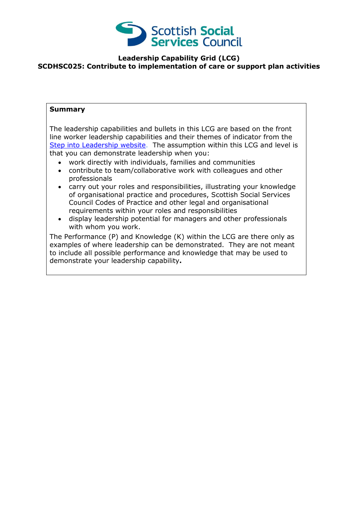

### **Leadership Capability Grid (LCG) SCDHSC025: Contribute to implementation of care or support plan activities**

#### **Summary**

The leadership capabilities and bullets in this LCG are based on the front line worker leadership capabilities and their themes of indicator from the [Step into Leadership website.](http://www.stepintoleadership.info/) The assumption within this LCG and level is that you can demonstrate leadership when you:

- work directly with individuals, families and communities
- contribute to team/collaborative work with colleagues and other professionals
- carry out your roles and responsibilities, illustrating your knowledge of organisational practice and procedures, Scottish Social Services Council Codes of Practice and other legal and organisational requirements within your roles and responsibilities
- display leadership potential for managers and other professionals with whom you work.

The Performance (P) and Knowledge (K) within the LCG are there only as examples of where leadership can be demonstrated. They are not meant to include all possible performance and knowledge that may be used to demonstrate your leadership capability**.**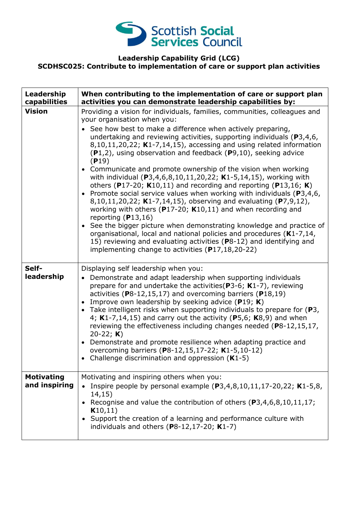

### **Leadership Capability Grid (LCG) SCDHSC025: Contribute to implementation of care or support plan activities**

| Leadership<br>capabilities         | When contributing to the implementation of care or support plan<br>activities you can demonstrate leadership capabilities by:                                                                                                                                                                                                                                                                                                                                                                                                                                                                                                                                                                                                                                                                                                                                                                                                                                                                                                                                                                                                                  |
|------------------------------------|------------------------------------------------------------------------------------------------------------------------------------------------------------------------------------------------------------------------------------------------------------------------------------------------------------------------------------------------------------------------------------------------------------------------------------------------------------------------------------------------------------------------------------------------------------------------------------------------------------------------------------------------------------------------------------------------------------------------------------------------------------------------------------------------------------------------------------------------------------------------------------------------------------------------------------------------------------------------------------------------------------------------------------------------------------------------------------------------------------------------------------------------|
| <b>Vision</b>                      | Providing a vision for individuals, families, communities, colleagues and<br>your organisation when you:<br>• See how best to make a difference when actively preparing,<br>undertaking and reviewing activities, supporting individuals ( $P3,4,6$ ,<br>8,10,11,20,22; K1-7,14,15), accessing and using related information<br>$(P1,2)$ , using observation and feedback $(P9,10)$ , seeking advice<br>(P19)<br>• Communicate and promote ownership of the vision when working<br>with individual (P3,4,6,8,10,11,20,22; K1-5,14,15), working with<br>others (P17-20; K10,11) and recording and reporting (P13,16; K)<br>• Promote social service values when working with individuals ( $P3,4,6$ ,<br>8,10,11,20,22; K1-7,14,15), observing and evaluating (P7,9,12),<br>working with others ( $P17-20$ ; K10,11) and when recording and<br>reporting $(P13,16)$<br>• See the bigger picture when demonstrating knowledge and practice of<br>organisational, local and national policies and procedures (K1-7,14,<br>15) reviewing and evaluating activities (P8-12) and identifying and<br>implementing change to activities (P17,18,20-22) |
| Self-<br>leadership                | Displaying self leadership when you:<br>• Demonstrate and adapt leadership when supporting individuals<br>prepare for and undertake the activities ( $P3-6$ ; K1-7), reviewing<br>activities ( $P8-12,15,17$ ) and overcoming barriers ( $P18,19$ )<br>• Improve own leadership by seeking advice ( $P19$ ; K)<br>• Take intelligent risks when supporting individuals to prepare for $(P3,$<br>4; $K1-7,14,15$ ) and carry out the activity (P5,6; $K8,9$ ) and when<br>reviewing the effectiveness including changes needed (P8-12,15,17,<br>20-22; $K$ )<br>• Demonstrate and promote resilience when adapting practice and<br>overcoming barriers (P8-12,15,17-22; K1-5,10-12)<br>• Challenge discrimination and oppression $(K1-5)$                                                                                                                                                                                                                                                                                                                                                                                                       |
| <b>Motivating</b><br>and inspiring | Motivating and inspiring others when you:<br>Inspire people by personal example $(P3,4,8,10,11,17-20,22; K1-5,8,$<br>14,15)<br>Recognise and value the contribution of others $(P3, 4, 6, 8, 10, 11, 17)$ ;<br>K10,11)<br>Support the creation of a learning and performance culture with<br>individuals and others (P8-12,17-20; K1-7)                                                                                                                                                                                                                                                                                                                                                                                                                                                                                                                                                                                                                                                                                                                                                                                                        |